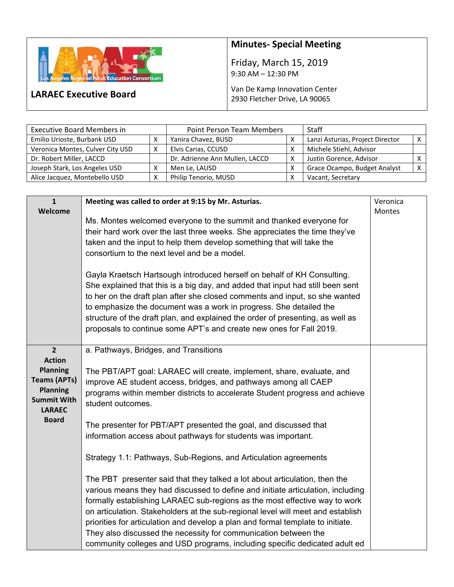

**LARAEC Executive Board** 

## **Minutes‐ Special Meeting**

Friday, March 15, 2019 9:30 AM – 12:30 PM

## Van De Kamp Innovation Center 2930 Fletcher Drive, LA 90065

| <b>Executive Board Members in</b> |   | <b>Point Person Team Members</b> |   | <b>Staff</b>                     |              |
|-----------------------------------|---|----------------------------------|---|----------------------------------|--------------|
| Emilio Urioste, Burbank USD       |   | Yanira Chavez, BUSD              |   | Lanzi Asturias, Project Director |              |
| Veronica Montes, Culver City USD  | v | Elvis Carias, CCUSD              |   | Michele Stiehl, Advisor          |              |
| Dr. Robert Miller, LACCD          |   | Dr. Adrienne Ann Mullen, LACCD   | х | Justin Gorence, Advisor          |              |
| Joseph Stark, Los Angeles USD     |   | Men Le, LAUSD                    |   | Grace Ocampo, Budget Analyst     | $\checkmark$ |
| Alice Jacquez, Montebello USD     |   | Philip Tenorio, MUSD             |   | Vacant, Secretary                |              |

| $\mathbf{1}$        | Meeting was called to order at 9:15 by Mr. Asturias.                            | Veronica |
|---------------------|---------------------------------------------------------------------------------|----------|
| Welcome             |                                                                                 | Montes   |
|                     | Ms. Montes welcomed everyone to the summit and thanked everyone for             |          |
|                     | their hard work over the last three weeks. She appreciates the time they've     |          |
|                     | taken and the input to help them develop something that will take the           |          |
|                     | consortium to the next level and be a model.                                    |          |
|                     |                                                                                 |          |
|                     | Gayla Kraetsch Hartsough introduced herself on behalf of KH Consulting.         |          |
|                     | She explained that this is a big day, and added that input had still been sent  |          |
|                     | to her on the draft plan after she closed comments and input, so she wanted     |          |
|                     | to emphasize the document was a work in progress. She detailed the              |          |
|                     |                                                                                 |          |
|                     | structure of the draft plan, and explained the order of presenting, as well as  |          |
|                     | proposals to continue some APT's and create new ones for Fall 2019.             |          |
| $\overline{2}$      |                                                                                 |          |
| <b>Action</b>       | a. Pathways, Bridges, and Transitions                                           |          |
|                     |                                                                                 |          |
| <b>Planning</b>     | The PBT/APT goal: LARAEC will create, implement, share, evaluate, and           |          |
| <b>Teams (APTs)</b> | improve AE student access, bridges, and pathways among all CAEP                 |          |
| <b>Planning</b>     | programs within member districts to accelerate Student progress and achieve     |          |
| <b>Summit With</b>  | student outcomes.                                                               |          |
| <b>LARAEC</b>       |                                                                                 |          |
| <b>Board</b>        | The presenter for PBT/APT presented the goal, and discussed that                |          |
|                     | information access about pathways for students was important.                   |          |
|                     |                                                                                 |          |
|                     | Strategy 1.1: Pathways, Sub-Regions, and Articulation agreements                |          |
|                     |                                                                                 |          |
|                     | The PBT presenter said that they talked a lot about articulation, then the      |          |
|                     | various means they had discussed to define and initiate articulation, including |          |
|                     | formally establishing LARAEC sub-regions as the most effective way to work      |          |
|                     | on articulation. Stakeholders at the sub-regional level will meet and establish |          |
|                     | priorities for articulation and develop a plan and formal template to initiate. |          |
|                     | They also discussed the necessity for communication between the                 |          |
|                     |                                                                                 |          |
|                     | community colleges and USD programs, including specific dedicated adult ed      |          |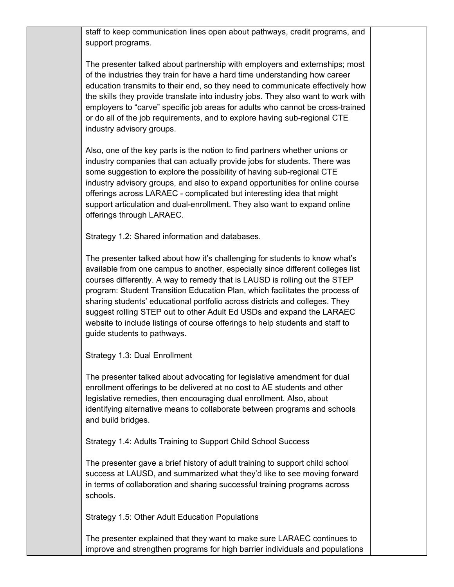staff to keep communication lines open about pathways, credit programs, and support programs.

The presenter talked about partnership with employers and externships; most of the industries they train for have a hard time understanding how career education transmits to their end, so they need to communicate effectively how the skills they provide translate into industry jobs. They also want to work with employers to "carve" specific job areas for adults who cannot be cross-trained or do all of the job requirements, and to explore having sub-regional CTE industry advisory groups.

Also, one of the key parts is the notion to find partners whether unions or industry companies that can actually provide jobs for students. There was some suggestion to explore the possibility of having sub-regional CTE industry advisory groups, and also to expand opportunities for online course offerings across LARAEC - complicated but interesting idea that might support articulation and dual-enrollment. They also want to expand online offerings through LARAEC.

Strategy 1.2: Shared information and databases.

The presenter talked about how it's challenging for students to know what's available from one campus to another, especially since different colleges list courses differently. A way to remedy that is LAUSD is rolling out the STEP program: Student Transition Education Plan, which facilitates the process of sharing students' educational portfolio across districts and colleges. They suggest rolling STEP out to other Adult Ed USDs and expand the LARAEC website to include listings of course offerings to help students and staff to guide students to pathways.

Strategy 1.3: Dual Enrollment

The presenter talked about advocating for legislative amendment for dual enrollment offerings to be delivered at no cost to AE students and other legislative remedies, then encouraging dual enrollment. Also, about identifying alternative means to collaborate between programs and schools and build bridges.

Strategy 1.4: Adults Training to Support Child School Success

The presenter gave a brief history of adult training to support child school success at LAUSD, and summarized what they'd like to see moving forward in terms of collaboration and sharing successful training programs across schools.

Strategy 1.5: Other Adult Education Populations

The presenter explained that they want to make sure LARAEC continues to improve and strengthen programs for high barrier individuals and populations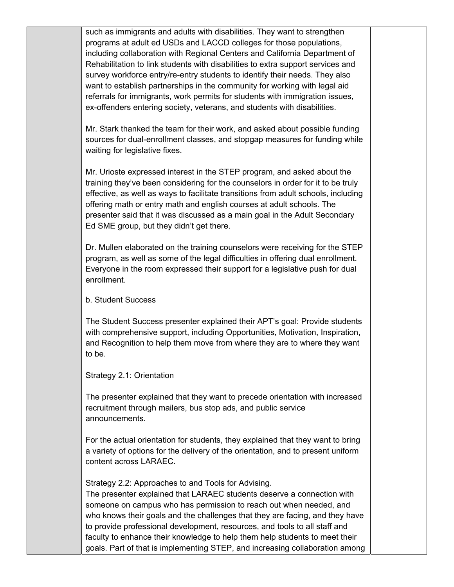such as immigrants and adults with disabilities. They want to strengthen programs at adult ed USDs and LACCD colleges for those populations, including collaboration with Regional Centers and California Department of Rehabilitation to link students with disabilities to extra support services and survey workforce entry/re-entry students to identify their needs. They also want to establish partnerships in the community for working with legal aid referrals for immigrants, work permits for students with immigration issues, ex-offenders entering society, veterans, and students with disabilities.

Mr. Stark thanked the team for their work, and asked about possible funding sources for dual-enrollment classes, and stopgap measures for funding while waiting for legislative fixes.

Mr. Urioste expressed interest in the STEP program, and asked about the training they've been considering for the counselors in order for it to be truly effective, as well as ways to facilitate transitions from adult schools, including offering math or entry math and english courses at adult schools. The presenter said that it was discussed as a main goal in the Adult Secondary Ed SME group, but they didn't get there.

Dr. Mullen elaborated on the training counselors were receiving for the STEP program, as well as some of the legal difficulties in offering dual enrollment. Everyone in the room expressed their support for a legislative push for dual enrollment.

b. Student Success

The Student Success presenter explained their APT's goal: Provide students with comprehensive support, including Opportunities, Motivation, Inspiration, and Recognition to help them move from where they are to where they want to be.

Strategy 2.1: Orientation

The presenter explained that they want to precede orientation with increased recruitment through mailers, bus stop ads, and public service announcements.

For the actual orientation for students, they explained that they want to bring a variety of options for the delivery of the orientation, and to present uniform content across LARAEC.

Strategy 2.2: Approaches to and Tools for Advising.

The presenter explained that LARAEC students deserve a connection with someone on campus who has permission to reach out when needed, and who knows their goals and the challenges that they are facing, and they have to provide professional development, resources, and tools to all staff and faculty to enhance their knowledge to help them help students to meet their goals. Part of that is implementing STEP, and increasing collaboration among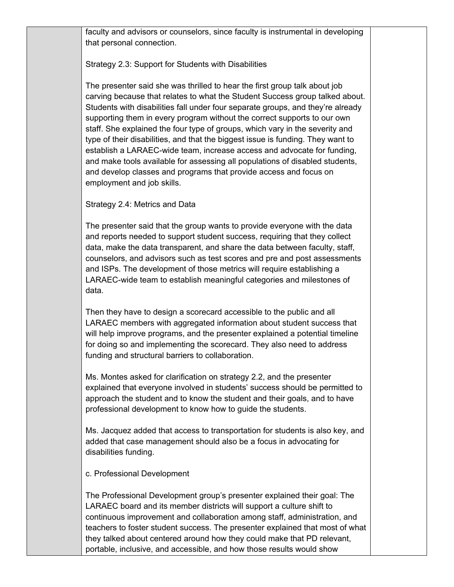faculty and advisors or counselors, since faculty is instrumental in developing that personal connection.

## Strategy 2.3: Support for Students with Disabilities

The presenter said she was thrilled to hear the first group talk about job carving because that relates to what the Student Success group talked about. Students with disabilities fall under four separate groups, and they're already supporting them in every program without the correct supports to our own staff. She explained the four type of groups, which vary in the severity and type of their disabilities, and that the biggest issue is funding. They want to establish a LARAEC-wide team, increase access and advocate for funding, and make tools available for assessing all populations of disabled students, and develop classes and programs that provide access and focus on employment and job skills.

Strategy 2.4: Metrics and Data

The presenter said that the group wants to provide everyone with the data and reports needed to support student success, requiring that they collect data, make the data transparent, and share the data between faculty, staff, counselors, and advisors such as test scores and pre and post assessments and ISPs. The development of those metrics will require establishing a LARAEC-wide team to establish meaningful categories and milestones of data.

Then they have to design a scorecard accessible to the public and all LARAEC members with aggregated information about student success that will help improve programs, and the presenter explained a potential timeline for doing so and implementing the scorecard. They also need to address funding and structural barriers to collaboration.

Ms. Montes asked for clarification on strategy 2.2, and the presenter explained that everyone involved in students' success should be permitted to approach the student and to know the student and their goals, and to have professional development to know how to guide the students.

Ms. Jacquez added that access to transportation for students is also key, and added that case management should also be a focus in advocating for disabilities funding.

c. Professional Development

The Professional Development group's presenter explained their goal: The LARAEC board and its member districts will support a culture shift to continuous improvement and collaboration among staff, administration, and teachers to foster student success. The presenter explained that most of what they talked about centered around how they could make that PD relevant, portable, inclusive, and accessible, and how those results would show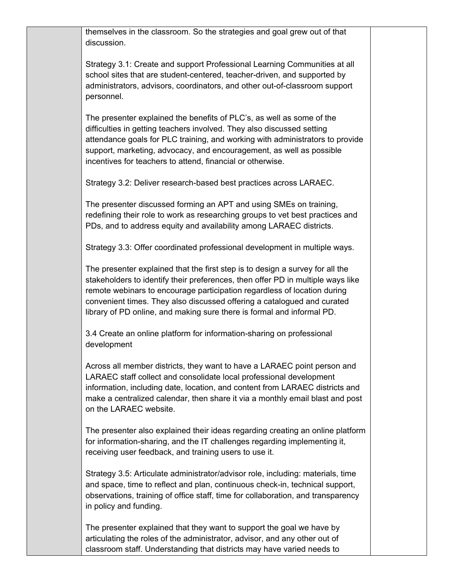themselves in the classroom. So the strategies and goal grew out of that discussion.

Strategy 3.1: Create and support Professional Learning Communities at all school sites that are student-centered, teacher-driven, and supported by administrators, advisors, coordinators, and other out-of-classroom support personnel.

The presenter explained the benefits of PLC's, as well as some of the difficulties in getting teachers involved. They also discussed setting attendance goals for PLC training, and working with administrators to provide support, marketing, advocacy, and encouragement, as well as possible incentives for teachers to attend, financial or otherwise.

Strategy 3.2: Deliver research-based best practices across LARAEC.

The presenter discussed forming an APT and using SMEs on training, redefining their role to work as researching groups to vet best practices and PDs, and to address equity and availability among LARAEC districts.

Strategy 3.3: Offer coordinated professional development in multiple ways.

The presenter explained that the first step is to design a survey for all the stakeholders to identify their preferences, then offer PD in multiple ways like remote webinars to encourage participation regardless of location during convenient times. They also discussed offering a catalogued and curated library of PD online, and making sure there is formal and informal PD.

3.4 Create an online platform for information-sharing on professional development

Across all member districts, they want to have a LARAEC point person and LARAEC staff collect and consolidate local professional development information, including date, location, and content from LARAEC districts and make a centralized calendar, then share it via a monthly email blast and post on the LARAEC website.

The presenter also explained their ideas regarding creating an online platform for information-sharing, and the IT challenges regarding implementing it, receiving user feedback, and training users to use it.

Strategy 3.5: Articulate administrator/advisor role, including: materials, time and space, time to reflect and plan, continuous check-in, technical support, observations, training of office staff, time for collaboration, and transparency in policy and funding.

The presenter explained that they want to support the goal we have by articulating the roles of the administrator, advisor, and any other out of classroom staff. Understanding that districts may have varied needs to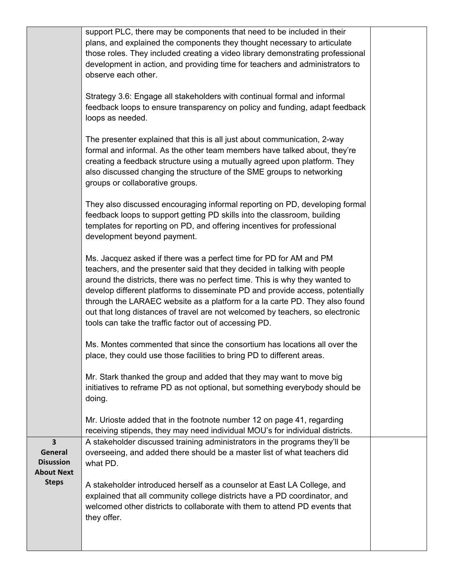|                                                                                    | support PLC, there may be components that need to be included in their<br>plans, and explained the components they thought necessary to articulate<br>those roles. They included creating a video library demonstrating professional<br>development in action, and providing time for teachers and administrators to<br>observe each other.                                                                                                                                                                                               |  |
|------------------------------------------------------------------------------------|-------------------------------------------------------------------------------------------------------------------------------------------------------------------------------------------------------------------------------------------------------------------------------------------------------------------------------------------------------------------------------------------------------------------------------------------------------------------------------------------------------------------------------------------|--|
|                                                                                    | Strategy 3.6: Engage all stakeholders with continual formal and informal<br>feedback loops to ensure transparency on policy and funding, adapt feedback<br>loops as needed.                                                                                                                                                                                                                                                                                                                                                               |  |
|                                                                                    | The presenter explained that this is all just about communication, 2-way<br>formal and informal. As the other team members have talked about, they're<br>creating a feedback structure using a mutually agreed upon platform. They<br>also discussed changing the structure of the SME groups to networking<br>groups or collaborative groups.                                                                                                                                                                                            |  |
|                                                                                    | They also discussed encouraging informal reporting on PD, developing formal<br>feedback loops to support getting PD skills into the classroom, building<br>templates for reporting on PD, and offering incentives for professional<br>development beyond payment.                                                                                                                                                                                                                                                                         |  |
|                                                                                    | Ms. Jacquez asked if there was a perfect time for PD for AM and PM<br>teachers, and the presenter said that they decided in talking with people<br>around the districts, there was no perfect time. This is why they wanted to<br>develop different platforms to disseminate PD and provide access, potentially<br>through the LARAEC website as a platform for a la carte PD. They also found<br>out that long distances of travel are not welcomed by teachers, so electronic<br>tools can take the traffic factor out of accessing PD. |  |
|                                                                                    | Ms. Montes commented that since the consortium has locations all over the<br>place, they could use those facilities to bring PD to different areas.                                                                                                                                                                                                                                                                                                                                                                                       |  |
|                                                                                    | Mr. Stark thanked the group and added that they may want to move big<br>initiatives to reframe PD as not optional, but something everybody should be<br>doing.                                                                                                                                                                                                                                                                                                                                                                            |  |
|                                                                                    | Mr. Urioste added that in the footnote number 12 on page 41, regarding<br>receiving stipends, they may need individual MOU's for individual districts.                                                                                                                                                                                                                                                                                                                                                                                    |  |
| $\overline{\mathbf{3}}$<br><b>General</b><br><b>Disussion</b><br><b>About Next</b> | A stakeholder discussed training administrators in the programs they'll be<br>overseeing, and added there should be a master list of what teachers did<br>what PD.                                                                                                                                                                                                                                                                                                                                                                        |  |
| <b>Steps</b>                                                                       | A stakeholder introduced herself as a counselor at East LA College, and<br>explained that all community college districts have a PD coordinator, and<br>welcomed other districts to collaborate with them to attend PD events that<br>they offer.                                                                                                                                                                                                                                                                                         |  |
|                                                                                    |                                                                                                                                                                                                                                                                                                                                                                                                                                                                                                                                           |  |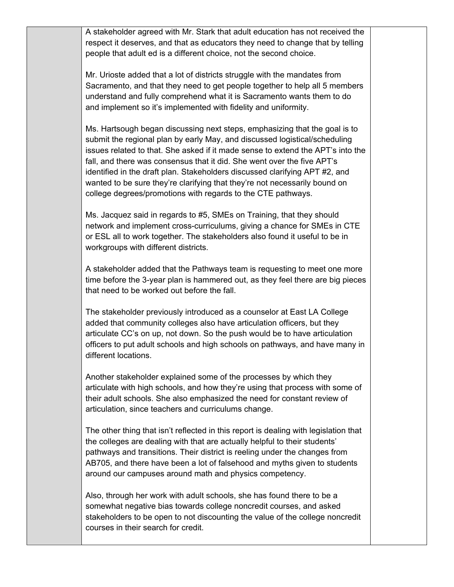A stakeholder agreed with Mr. Stark that adult education has not received the respect it deserves, and that as educators they need to change that by telling people that adult ed is a different choice, not the second choice.

Mr. Urioste added that a lot of districts struggle with the mandates from Sacramento, and that they need to get people together to help all 5 members understand and fully comprehend what it is Sacramento wants them to do and implement so it's implemented with fidelity and uniformity.

Ms. Hartsough began discussing next steps, emphasizing that the goal is to submit the regional plan by early May, and discussed logistical/scheduling issues related to that. She asked if it made sense to extend the APT's into the fall, and there was consensus that it did. She went over the five APT's identified in the draft plan. Stakeholders discussed clarifying APT #2, and wanted to be sure they're clarifying that they're not necessarily bound on college degrees/promotions with regards to the CTE pathways.

Ms. Jacquez said in regards to #5, SMEs on Training, that they should network and implement cross-curriculums, giving a chance for SMEs in CTE or ESL all to work together. The stakeholders also found it useful to be in workgroups with different districts.

A stakeholder added that the Pathways team is requesting to meet one more time before the 3-year plan is hammered out, as they feel there are big pieces that need to be worked out before the fall.

The stakeholder previously introduced as a counselor at East LA College added that community colleges also have articulation officers, but they articulate CC's on up, not down. So the push would be to have articulation officers to put adult schools and high schools on pathways, and have many in different locations.

Another stakeholder explained some of the processes by which they articulate with high schools, and how they're using that process with some of their adult schools. She also emphasized the need for constant review of articulation, since teachers and curriculums change.

The other thing that isn't reflected in this report is dealing with legislation that the colleges are dealing with that are actually helpful to their students' pathways and transitions. Their district is reeling under the changes from AB705, and there have been a lot of falsehood and myths given to students around our campuses around math and physics competency.

Also, through her work with adult schools, she has found there to be a somewhat negative bias towards college noncredit courses, and asked stakeholders to be open to not discounting the value of the college noncredit courses in their search for credit.